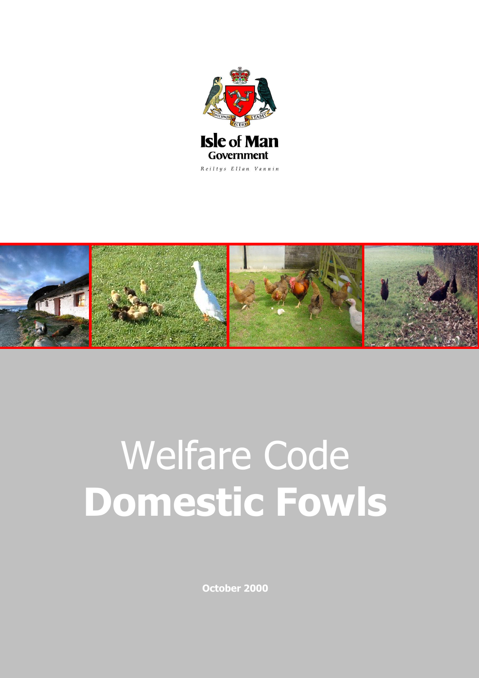



# **Pitare Code** Welfare Code **Domestic Fowls**

**October 2000**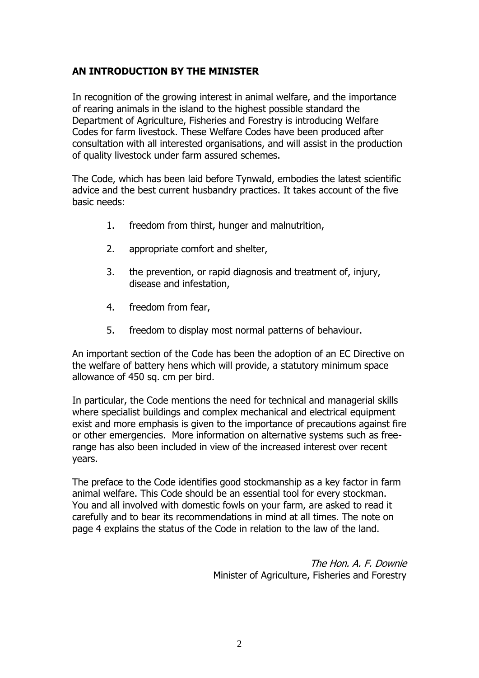#### **AN INTRODUCTION BY THE MINISTER**

In recognition of the growing interest in animal welfare, and the importance of rearing animals in the island to the highest possible standard the Department of Agriculture, Fisheries and Forestry is introducing Welfare Codes for farm livestock. These Welfare Codes have been produced after consultation with all interested organisations, and will assist in the production of quality livestock under farm assured schemes.

The Code, which has been laid before Tynwald, embodies the latest scientific advice and the best current husbandry practices. It takes account of the five basic needs:

- 1. freedom from thirst, hunger and malnutrition,
- 2. appropriate comfort and shelter,
- 3. the prevention, or rapid diagnosis and treatment of, injury, disease and infestation,
- 4. freedom from fear,
- 5. freedom to display most normal patterns of behaviour.

An important section of the Code has been the adoption of an EC Directive on the welfare of battery hens which will provide, a statutory minimum space allowance of 450 sq. cm per bird.

In particular, the Code mentions the need for technical and managerial skills where specialist buildings and complex mechanical and electrical equipment exist and more emphasis is given to the importance of precautions against fire or other emergencies. More information on alternative systems such as freerange has also been included in view of the increased interest over recent years.

The preface to the Code identifies good stockmanship as a key factor in farm animal welfare. This Code should be an essential tool for every stockman. You and all involved with domestic fowls on your farm, are asked to read it carefully and to bear its recommendations in mind at all times. The note on page 4 explains the status of the Code in relation to the law of the land.

> The Hon. A. F. Downie Minister of Agriculture, Fisheries and Forestry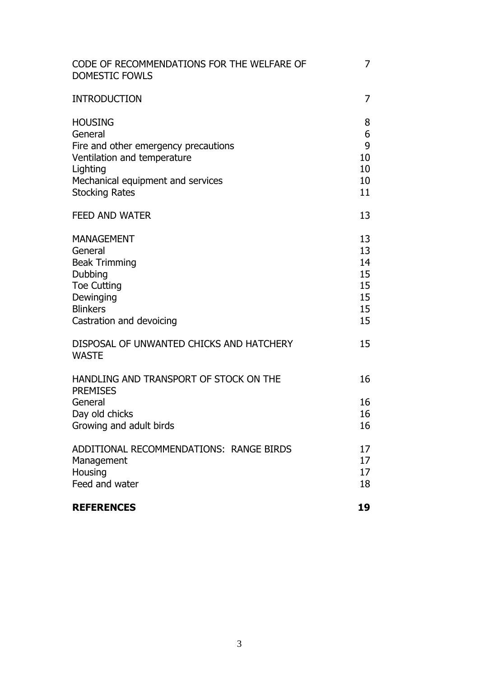| CODE OF RECOMMENDATIONS FOR THE WELFARE OF<br><b>DOMESTIC FOWLS</b>                                                                                                        | 7                                            |
|----------------------------------------------------------------------------------------------------------------------------------------------------------------------------|----------------------------------------------|
| <b>INTRODUCTION</b>                                                                                                                                                        | 7                                            |
| <b>HOUSING</b><br>General<br>Fire and other emergency precautions<br>Ventilation and temperature<br>Lighting<br>Mechanical equipment and services<br><b>Stocking Rates</b> | 8<br>6<br>9<br>10<br>10<br>10<br>11          |
| <b>FEED AND WATER</b>                                                                                                                                                      | 13                                           |
| <b>MANAGEMENT</b><br>General<br><b>Beak Trimming</b><br><b>Dubbing</b><br><b>Toe Cutting</b><br>Dewinging<br><b>Blinkers</b><br>Castration and devoicing                   | 13<br>13<br>14<br>15<br>15<br>15<br>15<br>15 |
| DISPOSAL OF UNWANTED CHICKS AND HATCHERY<br><b>WASTE</b>                                                                                                                   | 15                                           |
| HANDLING AND TRANSPORT OF STOCK ON THE<br><b>PREMISES</b><br>General<br>Day old chicks<br>Growing and adult birds                                                          | 16<br>16<br>16<br>16                         |
| ADDITIONAL RECOMMENDATIONS: RANGE BIRDS<br>Management<br>Housing<br>Feed and water<br><b>REFERENCES</b>                                                                    | 17<br>17<br>17<br>18<br>19                   |
|                                                                                                                                                                            |                                              |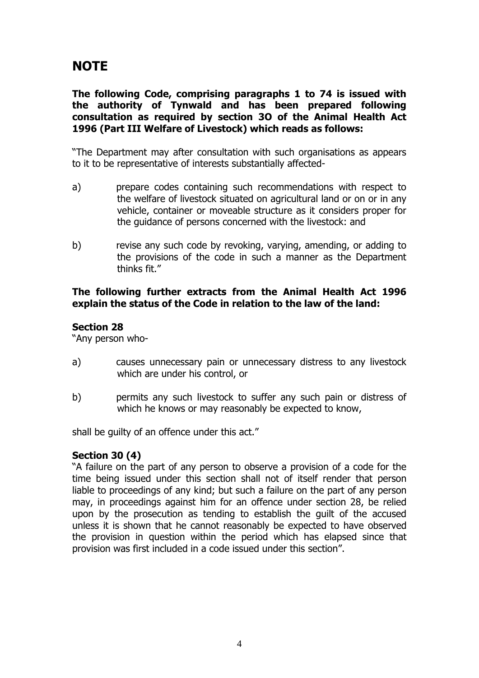### **NOTE**

**The following Code, comprising paragraphs 1 to 74 is issued with the authority of Tynwald and has been prepared following consultation as required by section 3O of the Animal Health Act 1996 (Part III Welfare of Livestock) which reads as follows:**

"The Department may after consultation with such organisations as appears to it to be representative of interests substantially affected-

- a) prepare codes containing such recommendations with respect to the welfare of livestock situated on agricultural land or on or in any vehicle, container or moveable structure as it considers proper for the guidance of persons concerned with the livestock: and
- b) revise any such code by revoking, varying, amending, or adding to the provisions of the code in such a manner as the Department thinks fit."

#### **The following further extracts from the Animal Health Act 1996 explain the status of the Code in relation to the law of the land:**

#### **Section 28**

"Any person who-

- a) causes unnecessary pain or unnecessary distress to any livestock which are under his control, or
- b) permits any such livestock to suffer any such pain or distress of which he knows or may reasonably be expected to know,

shall be guilty of an offence under this act."

#### **Section 30 (4)**

"A failure on the part of any person to observe a provision of a code for the time being issued under this section shall not of itself render that person liable to proceedings of any kind; but such a failure on the part of any person may, in proceedings against him for an offence under section 28, be relied upon by the prosecution as tending to establish the guilt of the accused unless it is shown that he cannot reasonably be expected to have observed the provision in question within the period which has elapsed since that provision was first included in a code issued under this section".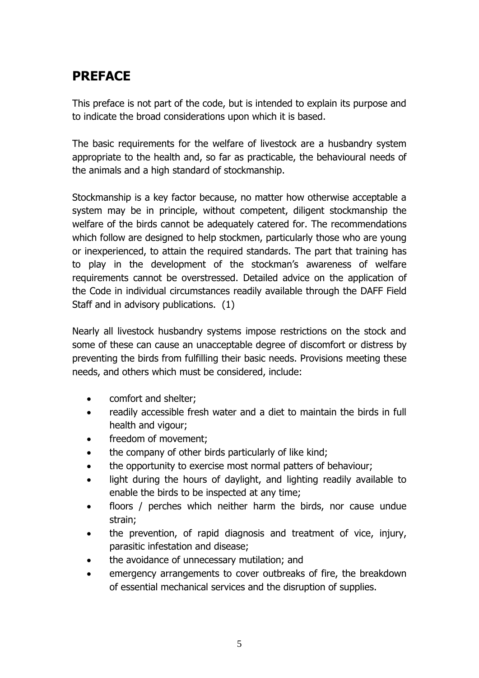### **PREFACE**

This preface is not part of the code, but is intended to explain its purpose and to indicate the broad considerations upon which it is based.

The basic requirements for the welfare of livestock are a husbandry system appropriate to the health and, so far as practicable, the behavioural needs of the animals and a high standard of stockmanship.

Stockmanship is a key factor because, no matter how otherwise acceptable a system may be in principle, without competent, diligent stockmanship the welfare of the birds cannot be adequately catered for. The recommendations which follow are designed to help stockmen, particularly those who are young or inexperienced, to attain the required standards. The part that training has to play in the development of the stockman's awareness of welfare requirements cannot be overstressed. Detailed advice on the application of the Code in individual circumstances readily available through the DAFF Field Staff and in advisory publications. (1)

Nearly all livestock husbandry systems impose restrictions on the stock and some of these can cause an unacceptable degree of discomfort or distress by preventing the birds from fulfilling their basic needs. Provisions meeting these needs, and others which must be considered, include:

- comfort and shelter;
- readily accessible fresh water and a diet to maintain the birds in full health and vigour;
- freedom of movement;
- the company of other birds particularly of like kind;
- the opportunity to exercise most normal patters of behaviour;
- light during the hours of daylight, and lighting readily available to enable the birds to be inspected at any time;
- floors / perches which neither harm the birds, nor cause undue strain;
- the prevention, of rapid diagnosis and treatment of vice, injury, parasitic infestation and disease;
- the avoidance of unnecessary mutilation; and
- emergency arrangements to cover outbreaks of fire, the breakdown of essential mechanical services and the disruption of supplies.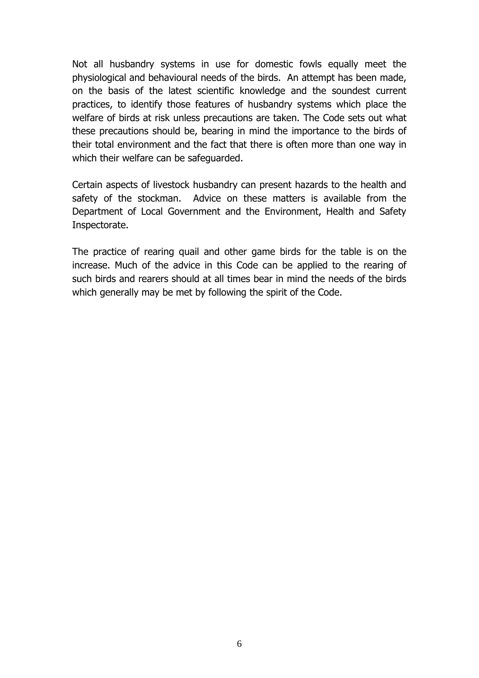Not all husbandry systems in use for domestic fowls equally meet the physiological and behavioural needs of the birds. An attempt has been made, on the basis of the latest scientific knowledge and the soundest current practices, to identify those features of husbandry systems which place the welfare of birds at risk unless precautions are taken. The Code sets out what these precautions should be, bearing in mind the importance to the birds of their total environment and the fact that there is often more than one way in which their welfare can be safeguarded.

Certain aspects of livestock husbandry can present hazards to the health and safety of the stockman. Advice on these matters is available from the Department of Local Government and the Environment, Health and Safety Inspectorate.

The practice of rearing quail and other game birds for the table is on the increase. Much of the advice in this Code can be applied to the rearing of such birds and rearers should at all times bear in mind the needs of the birds which generally may be met by following the spirit of the Code.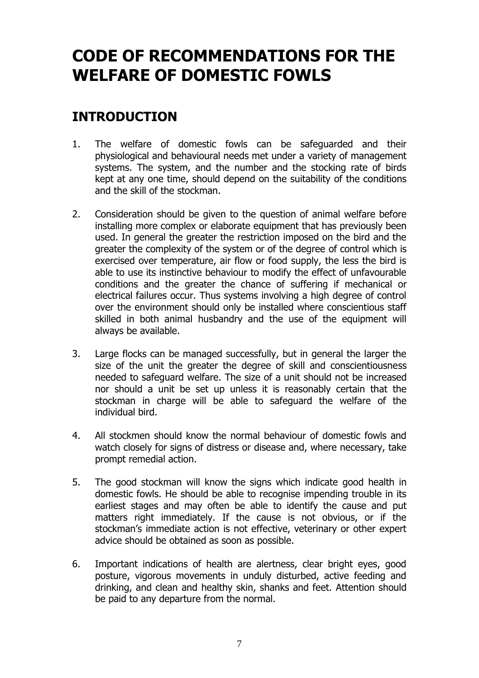## **CODE OF RECOMMENDATIONS FOR THE WELFARE OF DOMESTIC FOWLS**

### **INTRODUCTION**

- 1. The welfare of domestic fowls can be safeguarded and their physiological and behavioural needs met under a variety of management systems. The system, and the number and the stocking rate of birds kept at any one time, should depend on the suitability of the conditions and the skill of the stockman.
- 2. Consideration should be given to the question of animal welfare before installing more complex or elaborate equipment that has previously been used. In general the greater the restriction imposed on the bird and the greater the complexity of the system or of the degree of control which is exercised over temperature, air flow or food supply, the less the bird is able to use its instinctive behaviour to modify the effect of unfavourable conditions and the greater the chance of suffering if mechanical or electrical failures occur. Thus systems involving a high degree of control over the environment should only be installed where conscientious staff skilled in both animal husbandry and the use of the equipment will always be available.
- 3. Large flocks can be managed successfully, but in general the larger the size of the unit the greater the degree of skill and conscientiousness needed to safeguard welfare. The size of a unit should not be increased nor should a unit be set up unless it is reasonably certain that the stockman in charge will be able to safeguard the welfare of the individual bird.
- 4. All stockmen should know the normal behaviour of domestic fowls and watch closely for signs of distress or disease and, where necessary, take prompt remedial action.
- 5. The good stockman will know the signs which indicate good health in domestic fowls. He should be able to recognise impending trouble in its earliest stages and may often be able to identify the cause and put matters right immediately. If the cause is not obvious, or if the stockman's immediate action is not effective, veterinary or other expert advice should be obtained as soon as possible.
- 6. Important indications of health are alertness, clear bright eyes, good posture, vigorous movements in unduly disturbed, active feeding and drinking, and clean and healthy skin, shanks and feet. Attention should be paid to any departure from the normal.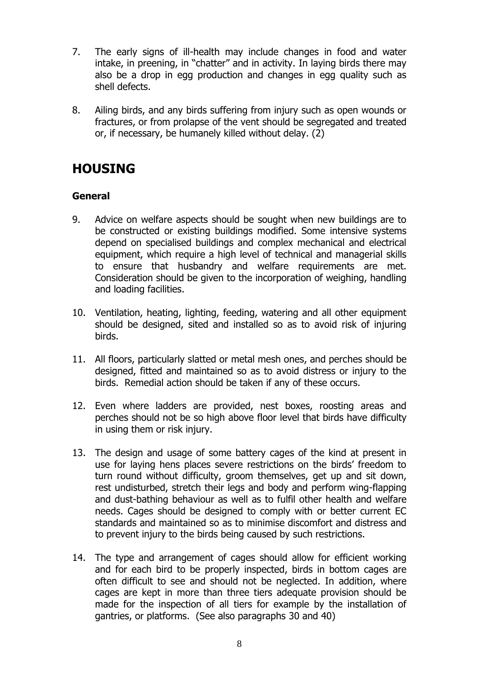- 7. The early signs of ill-health may include changes in food and water intake, in preening, in "chatter" and in activity. In laying birds there may also be a drop in egg production and changes in egg quality such as shell defects.
- 8. Ailing birds, and any birds suffering from injury such as open wounds or fractures, or from prolapse of the vent should be segregated and treated or, if necessary, be humanely killed without delay. (2)

### **HOUSING**

#### **General**

- 9. Advice on welfare aspects should be sought when new buildings are to be constructed or existing buildings modified. Some intensive systems depend on specialised buildings and complex mechanical and electrical equipment, which require a high level of technical and managerial skills to ensure that husbandry and welfare requirements are met. Consideration should be given to the incorporation of weighing, handling and loading facilities.
- 10. Ventilation, heating, lighting, feeding, watering and all other equipment should be designed, sited and installed so as to avoid risk of injuring birds.
- 11. All floors, particularly slatted or metal mesh ones, and perches should be designed, fitted and maintained so as to avoid distress or injury to the birds. Remedial action should be taken if any of these occurs.
- 12. Even where ladders are provided, nest boxes, roosting areas and perches should not be so high above floor level that birds have difficulty in using them or risk injury.
- 13. The design and usage of some battery cages of the kind at present in use for laying hens places severe restrictions on the birds' freedom to turn round without difficulty, groom themselves, get up and sit down, rest undisturbed, stretch their legs and body and perform wing-flapping and dust-bathing behaviour as well as to fulfil other health and welfare needs. Cages should be designed to comply with or better current EC standards and maintained so as to minimise discomfort and distress and to prevent injury to the birds being caused by such restrictions.
- 14. The type and arrangement of cages should allow for efficient working and for each bird to be properly inspected, birds in bottom cages are often difficult to see and should not be neglected. In addition, where cages are kept in more than three tiers adequate provision should be made for the inspection of all tiers for example by the installation of gantries, or platforms. (See also paragraphs 30 and 40)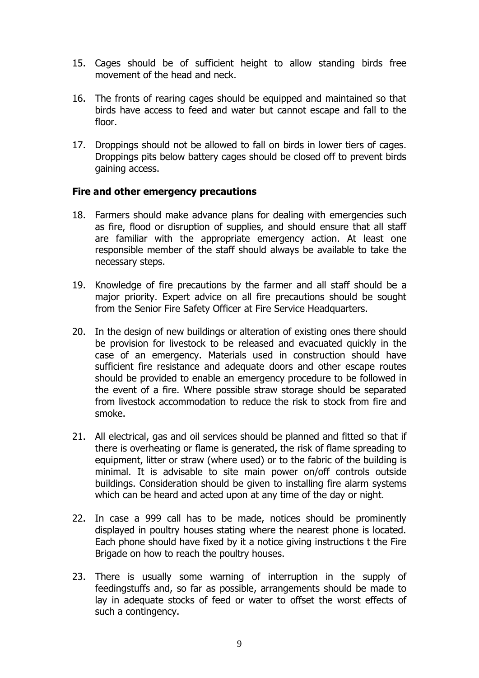- 15. Cages should be of sufficient height to allow standing birds free movement of the head and neck.
- 16. The fronts of rearing cages should be equipped and maintained so that birds have access to feed and water but cannot escape and fall to the floor.
- 17. Droppings should not be allowed to fall on birds in lower tiers of cages. Droppings pits below battery cages should be closed off to prevent birds gaining access.

#### **Fire and other emergency precautions**

- 18. Farmers should make advance plans for dealing with emergencies such as fire, flood or disruption of supplies, and should ensure that all staff are familiar with the appropriate emergency action. At least one responsible member of the staff should always be available to take the necessary steps.
- 19. Knowledge of fire precautions by the farmer and all staff should be a major priority. Expert advice on all fire precautions should be sought from the Senior Fire Safety Officer at Fire Service Headquarters.
- 20. In the design of new buildings or alteration of existing ones there should be provision for livestock to be released and evacuated quickly in the case of an emergency. Materials used in construction should have sufficient fire resistance and adequate doors and other escape routes should be provided to enable an emergency procedure to be followed in the event of a fire. Where possible straw storage should be separated from livestock accommodation to reduce the risk to stock from fire and smoke.
- 21. All electrical, gas and oil services should be planned and fitted so that if there is overheating or flame is generated, the risk of flame spreading to equipment, litter or straw (where used) or to the fabric of the building is minimal. It is advisable to site main power on/off controls outside buildings. Consideration should be given to installing fire alarm systems which can be heard and acted upon at any time of the day or night.
- 22. In case a 999 call has to be made, notices should be prominently displayed in poultry houses stating where the nearest phone is located. Each phone should have fixed by it a notice giving instructions t the Fire Brigade on how to reach the poultry houses.
- 23. There is usually some warning of interruption in the supply of feedingstuffs and, so far as possible, arrangements should be made to lay in adequate stocks of feed or water to offset the worst effects of such a contingency.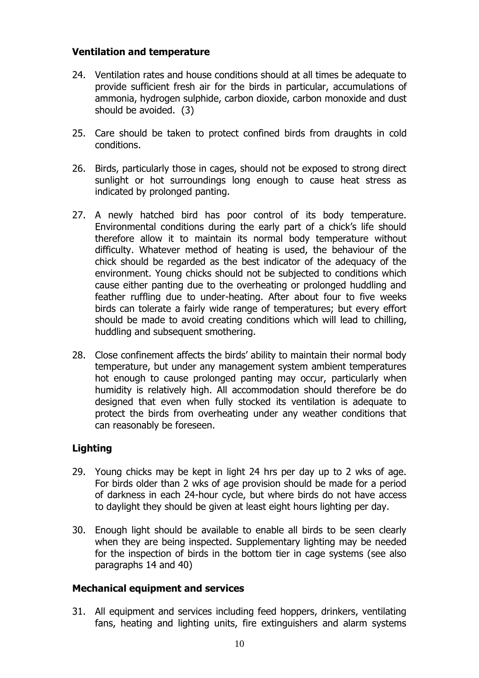#### **Ventilation and temperature**

- 24. Ventilation rates and house conditions should at all times be adequate to provide sufficient fresh air for the birds in particular, accumulations of ammonia, hydrogen sulphide, carbon dioxide, carbon monoxide and dust should be avoided. (3)
- 25. Care should be taken to protect confined birds from draughts in cold conditions.
- 26. Birds, particularly those in cages, should not be exposed to strong direct sunlight or hot surroundings long enough to cause heat stress as indicated by prolonged panting.
- 27. A newly hatched bird has poor control of its body temperature. Environmental conditions during the early part of a chick's life should therefore allow it to maintain its normal body temperature without difficulty. Whatever method of heating is used, the behaviour of the chick should be regarded as the best indicator of the adequacy of the environment. Young chicks should not be subjected to conditions which cause either panting due to the overheating or prolonged huddling and feather ruffling due to under-heating. After about four to five weeks birds can tolerate a fairly wide range of temperatures; but every effort should be made to avoid creating conditions which will lead to chilling, huddling and subsequent smothering.
- 28. Close confinement affects the birds' ability to maintain their normal body temperature, but under any management system ambient temperatures hot enough to cause prolonged panting may occur, particularly when humidity is relatively high. All accommodation should therefore be do designed that even when fully stocked its ventilation is adequate to protect the birds from overheating under any weather conditions that can reasonably be foreseen.

#### **Lighting**

- 29. Young chicks may be kept in light 24 hrs per day up to 2 wks of age. For birds older than 2 wks of age provision should be made for a period of darkness in each 24-hour cycle, but where birds do not have access to daylight they should be given at least eight hours lighting per day.
- 30. Enough light should be available to enable all birds to be seen clearly when they are being inspected. Supplementary lighting may be needed for the inspection of birds in the bottom tier in cage systems (see also paragraphs 14 and 40)

#### **Mechanical equipment and services**

31. All equipment and services including feed hoppers, drinkers, ventilating fans, heating and lighting units, fire extinguishers and alarm systems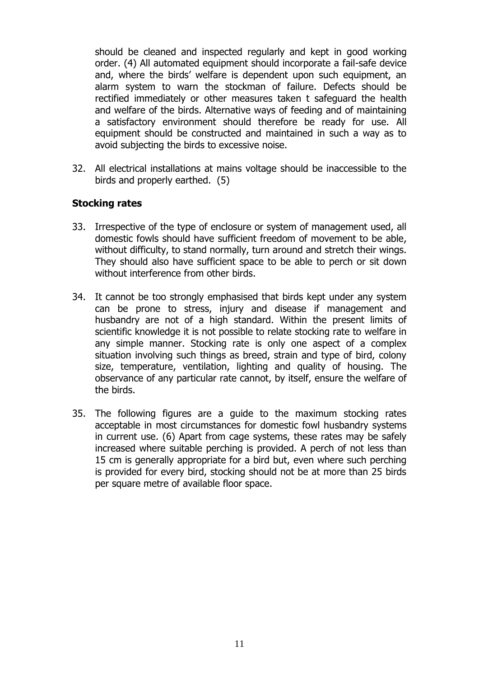should be cleaned and inspected regularly and kept in good working order. (4) All automated equipment should incorporate a fail-safe device and, where the birds' welfare is dependent upon such equipment, an alarm system to warn the stockman of failure. Defects should be rectified immediately or other measures taken t safeguard the health and welfare of the birds. Alternative ways of feeding and of maintaining a satisfactory environment should therefore be ready for use. All equipment should be constructed and maintained in such a way as to avoid subjecting the birds to excessive noise.

32. All electrical installations at mains voltage should be inaccessible to the birds and properly earthed. (5)

#### **Stocking rates**

- 33. Irrespective of the type of enclosure or system of management used, all domestic fowls should have sufficient freedom of movement to be able, without difficulty, to stand normally, turn around and stretch their wings. They should also have sufficient space to be able to perch or sit down without interference from other birds.
- 34. It cannot be too strongly emphasised that birds kept under any system can be prone to stress, injury and disease if management and husbandry are not of a high standard. Within the present limits of scientific knowledge it is not possible to relate stocking rate to welfare in any simple manner. Stocking rate is only one aspect of a complex situation involving such things as breed, strain and type of bird, colony size, temperature, ventilation, lighting and quality of housing. The observance of any particular rate cannot, by itself, ensure the welfare of the birds.
- 35. The following figures are a guide to the maximum stocking rates acceptable in most circumstances for domestic fowl husbandry systems in current use. (6) Apart from cage systems, these rates may be safely increased where suitable perching is provided. A perch of not less than 15 cm is generally appropriate for a bird but, even where such perching is provided for every bird, stocking should not be at more than 25 birds per square metre of available floor space.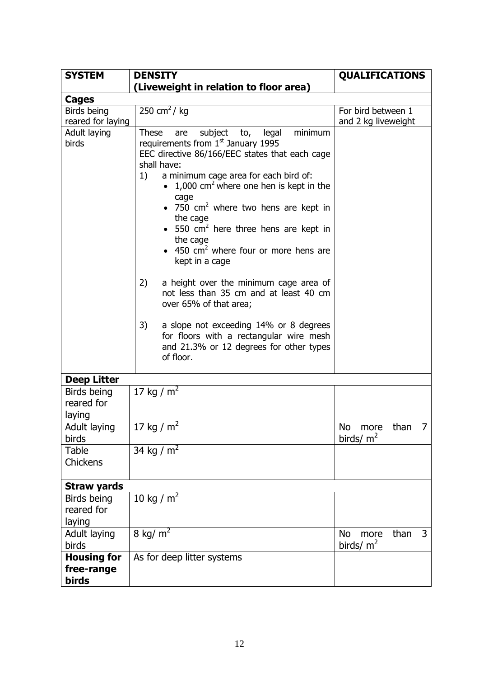| <b>SYSTEM</b>                             | <b>DENSITY</b>                                                                                                                                                                                                                                                                                                                                                                                                                                                                                                                                                                                                                                                                                                                                            | <b>QUALIFICATIONS</b>                  |
|-------------------------------------------|-----------------------------------------------------------------------------------------------------------------------------------------------------------------------------------------------------------------------------------------------------------------------------------------------------------------------------------------------------------------------------------------------------------------------------------------------------------------------------------------------------------------------------------------------------------------------------------------------------------------------------------------------------------------------------------------------------------------------------------------------------------|----------------------------------------|
|                                           | (Liveweight in relation to floor area)                                                                                                                                                                                                                                                                                                                                                                                                                                                                                                                                                                                                                                                                                                                    |                                        |
| Cages                                     |                                                                                                                                                                                                                                                                                                                                                                                                                                                                                                                                                                                                                                                                                                                                                           |                                        |
| Birds being                               | 250 cm <sup>2</sup> / $kg$                                                                                                                                                                                                                                                                                                                                                                                                                                                                                                                                                                                                                                                                                                                                | For bird between 1                     |
| reared for laying                         |                                                                                                                                                                                                                                                                                                                                                                                                                                                                                                                                                                                                                                                                                                                                                           | and 2 kg liveweight                    |
| Adult laying<br>birds                     | subject to,<br><b>These</b><br>legal<br>minimum<br>are<br>requirements from 1 <sup>st</sup> January 1995<br>EEC directive 86/166/EEC states that each cage<br>shall have:<br>1)<br>a minimum cage area for each bird of:<br>• 1,000 $\text{cm}^2$ where one hen is kept in the<br>cage<br>750 $\text{cm}^2$ where two hens are kept in<br>the cage<br>550 $\text{cm}^2$ here three hens are kept in<br>the cage<br>450 $\text{cm}^2$ where four or more hens are<br>kept in a cage<br>2)<br>a height over the minimum cage area of<br>not less than 35 cm and at least 40 cm<br>over 65% of that area;<br>3)<br>a slope not exceeding 14% or 8 degrees<br>for floors with a rectangular wire mesh<br>and 21.3% or 12 degrees for other types<br>of floor. |                                        |
|                                           |                                                                                                                                                                                                                                                                                                                                                                                                                                                                                                                                                                                                                                                                                                                                                           |                                        |
| <b>Deep Litter</b>                        |                                                                                                                                                                                                                                                                                                                                                                                                                                                                                                                                                                                                                                                                                                                                                           |                                        |
| Birds being<br>reared for<br>laying       | 17 kg / $m^2$                                                                                                                                                                                                                                                                                                                                                                                                                                                                                                                                                                                                                                                                                                                                             |                                        |
| Adult laying<br>birds                     | 17 kg / $m^2$                                                                                                                                                                                                                                                                                                                                                                                                                                                                                                                                                                                                                                                                                                                                             | No<br>7<br>than<br>more<br>birds/ $m2$ |
| Table<br>Chickens                         | 34 kg / $m^2$                                                                                                                                                                                                                                                                                                                                                                                                                                                                                                                                                                                                                                                                                                                                             |                                        |
| <b>Straw yards</b>                        |                                                                                                                                                                                                                                                                                                                                                                                                                                                                                                                                                                                                                                                                                                                                                           |                                        |
| Birds being<br>reared for<br>laying       | 10 kg / $m2$                                                                                                                                                                                                                                                                                                                                                                                                                                                                                                                                                                                                                                                                                                                                              |                                        |
| Adult laying<br>birds                     | 8 kg/ $m2$                                                                                                                                                                                                                                                                                                                                                                                                                                                                                                                                                                                                                                                                                                                                                | 3<br>than<br>No<br>more<br>birds/ $m2$ |
| <b>Housing for</b><br>free-range<br>birds | As for deep litter systems                                                                                                                                                                                                                                                                                                                                                                                                                                                                                                                                                                                                                                                                                                                                |                                        |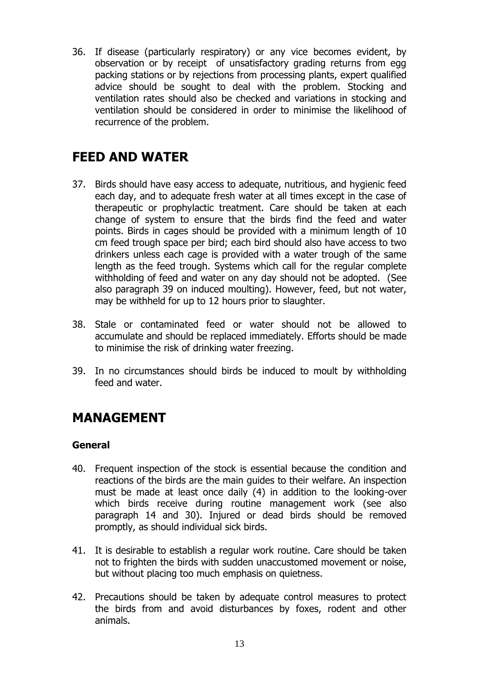36. If disease (particularly respiratory) or any vice becomes evident, by observation or by receipt of unsatisfactory grading returns from egg packing stations or by rejections from processing plants, expert qualified advice should be sought to deal with the problem. Stocking and ventilation rates should also be checked and variations in stocking and ventilation should be considered in order to minimise the likelihood of recurrence of the problem.

### **FEED AND WATER**

- 37. Birds should have easy access to adequate, nutritious, and hygienic feed each day, and to adequate fresh water at all times except in the case of therapeutic or prophylactic treatment. Care should be taken at each change of system to ensure that the birds find the feed and water points. Birds in cages should be provided with a minimum length of 10 cm feed trough space per bird; each bird should also have access to two drinkers unless each cage is provided with a water trough of the same length as the feed trough. Systems which call for the regular complete withholding of feed and water on any day should not be adopted. (See also paragraph 39 on induced moulting). However, feed, but not water, may be withheld for up to 12 hours prior to slaughter.
- 38. Stale or contaminated feed or water should not be allowed to accumulate and should be replaced immediately. Efforts should be made to minimise the risk of drinking water freezing.
- 39. In no circumstances should birds be induced to moult by withholding feed and water.

### **MANAGEMENT**

#### **General**

- 40. Frequent inspection of the stock is essential because the condition and reactions of the birds are the main guides to their welfare. An inspection must be made at least once daily (4) in addition to the looking-over which birds receive during routine management work (see also paragraph 14 and 30). Injured or dead birds should be removed promptly, as should individual sick birds.
- 41. It is desirable to establish a regular work routine. Care should be taken not to frighten the birds with sudden unaccustomed movement or noise, but without placing too much emphasis on quietness.
- 42. Precautions should be taken by adequate control measures to protect the birds from and avoid disturbances by foxes, rodent and other animals.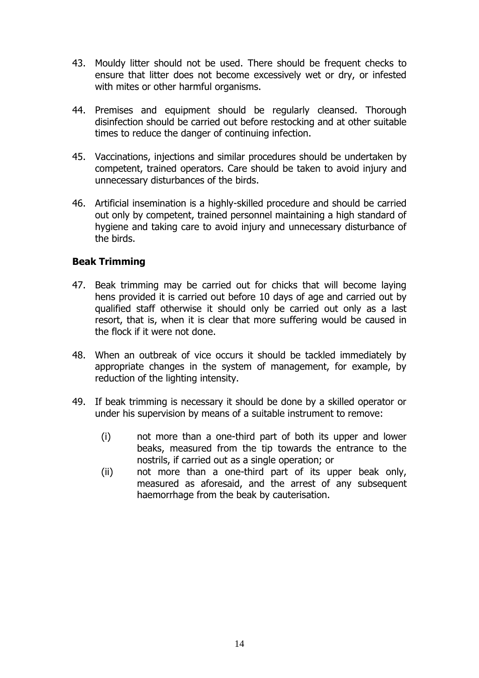- 43. Mouldy litter should not be used. There should be frequent checks to ensure that litter does not become excessively wet or dry, or infested with mites or other harmful organisms.
- 44. Premises and equipment should be regularly cleansed. Thorough disinfection should be carried out before restocking and at other suitable times to reduce the danger of continuing infection.
- 45. Vaccinations, injections and similar procedures should be undertaken by competent, trained operators. Care should be taken to avoid injury and unnecessary disturbances of the birds.
- 46. Artificial insemination is a highly-skilled procedure and should be carried out only by competent, trained personnel maintaining a high standard of hygiene and taking care to avoid injury and unnecessary disturbance of the birds.

#### **Beak Trimming**

- 47. Beak trimming may be carried out for chicks that will become laying hens provided it is carried out before 10 days of age and carried out by qualified staff otherwise it should only be carried out only as a last resort, that is, when it is clear that more suffering would be caused in the flock if it were not done.
- 48. When an outbreak of vice occurs it should be tackled immediately by appropriate changes in the system of management, for example, by reduction of the lighting intensity.
- 49. If beak trimming is necessary it should be done by a skilled operator or under his supervision by means of a suitable instrument to remove:
	- (i) not more than a one-third part of both its upper and lower beaks, measured from the tip towards the entrance to the nostrils, if carried out as a single operation; or
	- (ii) not more than a one-third part of its upper beak only, measured as aforesaid, and the arrest of any subsequent haemorrhage from the beak by cauterisation.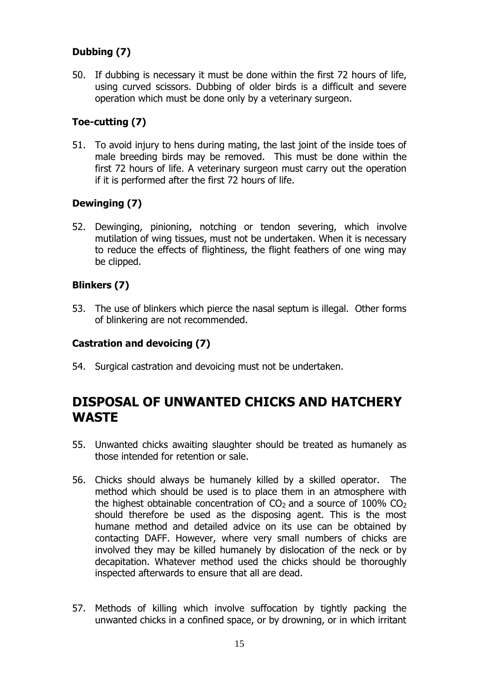#### **Dubbing (7)**

50. If dubbing is necessary it must be done within the first 72 hours of life, using curved scissors. Dubbing of older birds is a difficult and severe operation which must be done only by a veterinary surgeon.

#### **Toe-cutting (7)**

51. To avoid injury to hens during mating, the last joint of the inside toes of male breeding birds may be removed. This must be done within the first 72 hours of life. A veterinary surgeon must carry out the operation if it is performed after the first 72 hours of life.

#### **Dewinging (7)**

52. Dewinging, pinioning, notching or tendon severing, which involve mutilation of wing tissues, must not be undertaken. When it is necessary to reduce the effects of flightiness, the flight feathers of one wing may be clipped.

#### **Blinkers (7)**

53. The use of blinkers which pierce the nasal septum is illegal. Other forms of blinkering are not recommended.

#### **Castration and devoicing (7)**

54. Surgical castration and devoicing must not be undertaken.

### **DISPOSAL OF UNWANTED CHICKS AND HATCHERY WASTE**

- 55. Unwanted chicks awaiting slaughter should be treated as humanely as those intended for retention or sale.
- 56. Chicks should always be humanely killed by a skilled operator. The method which should be used is to place them in an atmosphere with the highest obtainable concentration of  $CO<sub>2</sub>$  and a source of 100%  $CO<sub>2</sub>$ should therefore be used as the disposing agent. This is the most humane method and detailed advice on its use can be obtained by contacting DAFF. However, where very small numbers of chicks are involved they may be killed humanely by dislocation of the neck or by decapitation. Whatever method used the chicks should be thoroughly inspected afterwards to ensure that all are dead.
- 57. Methods of killing which involve suffocation by tightly packing the unwanted chicks in a confined space, or by drowning, or in which irritant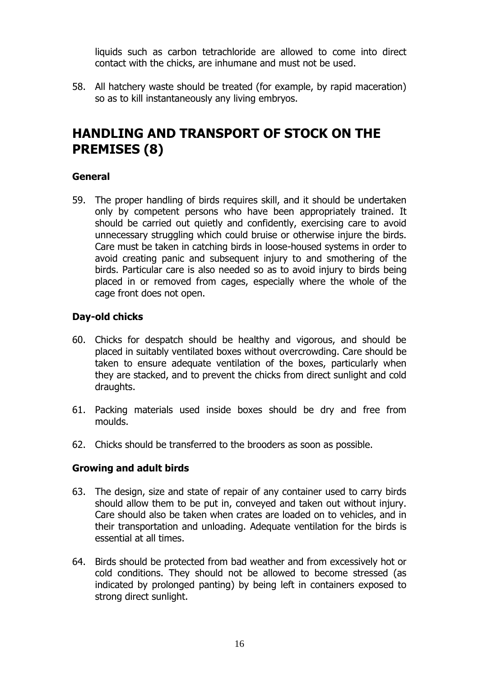liquids such as carbon tetrachloride are allowed to come into direct contact with the chicks, are inhumane and must not be used.

58. All hatchery waste should be treated (for example, by rapid maceration) so as to kill instantaneously any living embryos.

### **HANDLING AND TRANSPORT OF STOCK ON THE PREMISES (8)**

#### **General**

59. The proper handling of birds requires skill, and it should be undertaken only by competent persons who have been appropriately trained. It should be carried out quietly and confidently, exercising care to avoid unnecessary struggling which could bruise or otherwise injure the birds. Care must be taken in catching birds in loose-housed systems in order to avoid creating panic and subsequent injury to and smothering of the birds. Particular care is also needed so as to avoid injury to birds being placed in or removed from cages, especially where the whole of the cage front does not open.

#### **Day-old chicks**

- 60. Chicks for despatch should be healthy and vigorous, and should be placed in suitably ventilated boxes without overcrowding. Care should be taken to ensure adequate ventilation of the boxes, particularly when they are stacked, and to prevent the chicks from direct sunlight and cold draughts.
- 61. Packing materials used inside boxes should be dry and free from moulds.
- 62. Chicks should be transferred to the brooders as soon as possible.

#### **Growing and adult birds**

- 63. The design, size and state of repair of any container used to carry birds should allow them to be put in, conveyed and taken out without injury. Care should also be taken when crates are loaded on to vehicles, and in their transportation and unloading. Adequate ventilation for the birds is essential at all times.
- 64. Birds should be protected from bad weather and from excessively hot or cold conditions. They should not be allowed to become stressed (as indicated by prolonged panting) by being left in containers exposed to strong direct sunlight.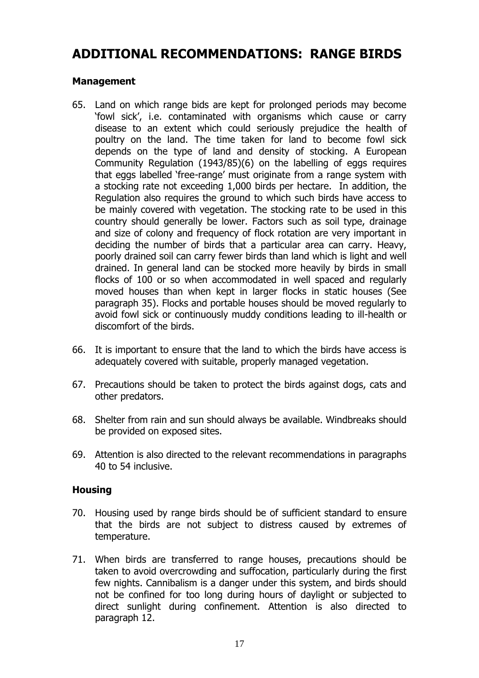### **ADDITIONAL RECOMMENDATIONS: RANGE BIRDS**

#### **Management**

- 65. Land on which range bids are kept for prolonged periods may become 'fowl sick', i.e. contaminated with organisms which cause or carry disease to an extent which could seriously prejudice the health of poultry on the land. The time taken for land to become fowl sick depends on the type of land and density of stocking. A European Community Regulation (1943/85)(6) on the labelling of eggs requires that eggs labelled 'free-range' must originate from a range system with a stocking rate not exceeding 1,000 birds per hectare. In addition, the Regulation also requires the ground to which such birds have access to be mainly covered with vegetation. The stocking rate to be used in this country should generally be lower. Factors such as soil type, drainage and size of colony and frequency of flock rotation are very important in deciding the number of birds that a particular area can carry. Heavy, poorly drained soil can carry fewer birds than land which is light and well drained. In general land can be stocked more heavily by birds in small flocks of 100 or so when accommodated in well spaced and regularly moved houses than when kept in larger flocks in static houses (See paragraph 35). Flocks and portable houses should be moved regularly to avoid fowl sick or continuously muddy conditions leading to ill-health or discomfort of the birds.
- 66. It is important to ensure that the land to which the birds have access is adequately covered with suitable, properly managed vegetation.
- 67. Precautions should be taken to protect the birds against dogs, cats and other predators.
- 68. Shelter from rain and sun should always be available. Windbreaks should be provided on exposed sites.
- 69. Attention is also directed to the relevant recommendations in paragraphs 40 to 54 inclusive.

#### **Housing**

- 70. Housing used by range birds should be of sufficient standard to ensure that the birds are not subject to distress caused by extremes of temperature.
- 71. When birds are transferred to range houses, precautions should be taken to avoid overcrowding and suffocation, particularly during the first few nights. Cannibalism is a danger under this system, and birds should not be confined for too long during hours of daylight or subjected to direct sunlight during confinement. Attention is also directed to paragraph 12.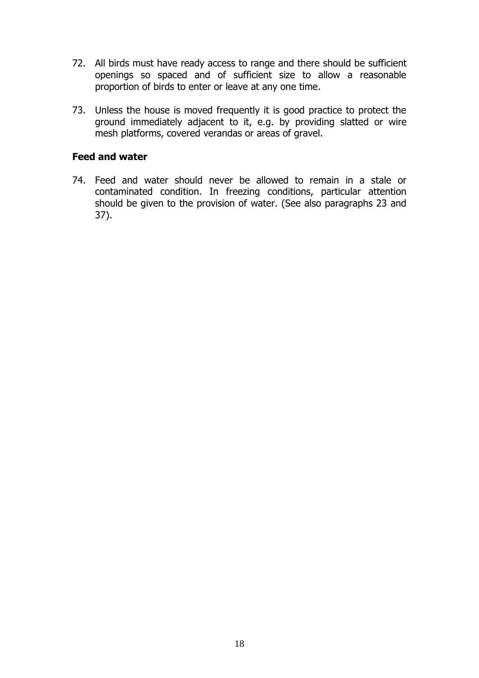- 72. All birds must have ready access to range and there should be sufficient openings so spaced and of sufficient size to allow a reasonable proportion of birds to enter or leave at any one time.
- 73. Unless the house is moved frequently it is good practice to protect the ground immediately adjacent to it, e.g. by providing slatted or wire mesh platforms, covered verandas or areas of gravel.

#### **Feed and water**

74. Feed and water should never be allowed to remain in a stale or contaminated condition. In freezing conditions, particular attention should be given to the provision of water. (See also paragraphs 23 and 37).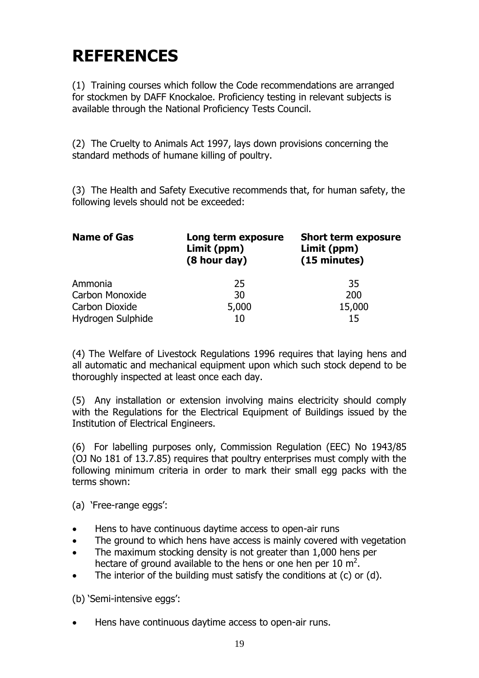# **REFERENCES**

(1) Training courses which follow the Code recommendations are arranged for stockmen by DAFF Knockaloe. Proficiency testing in relevant subjects is available through the National Proficiency Tests Council.

(2) The Cruelty to Animals Act 1997, lays down provisions concerning the standard methods of humane killing of poultry.

(3) The Health and Safety Executive recommends that, for human safety, the following levels should not be exceeded:

| <b>Name of Gas</b> | Long term exposure<br>Limit (ppm)<br>(8 hour day) | <b>Short term exposure</b><br>Limit (ppm)<br>(15 minutes) |
|--------------------|---------------------------------------------------|-----------------------------------------------------------|
| Ammonia            | 25                                                | 35                                                        |
| Carbon Monoxide    | 30                                                | 200                                                       |
| Carbon Dioxide     | 5,000                                             | 15,000                                                    |
| Hydrogen Sulphide  | 10                                                | 15                                                        |

(4) The Welfare of Livestock Regulations 1996 requires that laying hens and all automatic and mechanical equipment upon which such stock depend to be thoroughly inspected at least once each day.

(5) Any installation or extension involving mains electricity should comply with the Regulations for the Electrical Equipment of Buildings issued by the Institution of Electrical Engineers.

(6) For labelling purposes only, Commission Regulation (EEC) No 1943/85 (OJ No 181 of 13.7.85) requires that poultry enterprises must comply with the following minimum criteria in order to mark their small egg packs with the terms shown:

(a) 'Free-range eggs':

- Hens to have continuous daytime access to open-air runs
- The ground to which hens have access is mainly covered with vegetation
- The maximum stocking density is not greater than 1,000 hens per hectare of ground available to the hens or one hen per 10  $m^2$ .
- The interior of the building must satisfy the conditions at (c) or (d).

(b) 'Semi-intensive eggs':

Hens have continuous daytime access to open-air runs.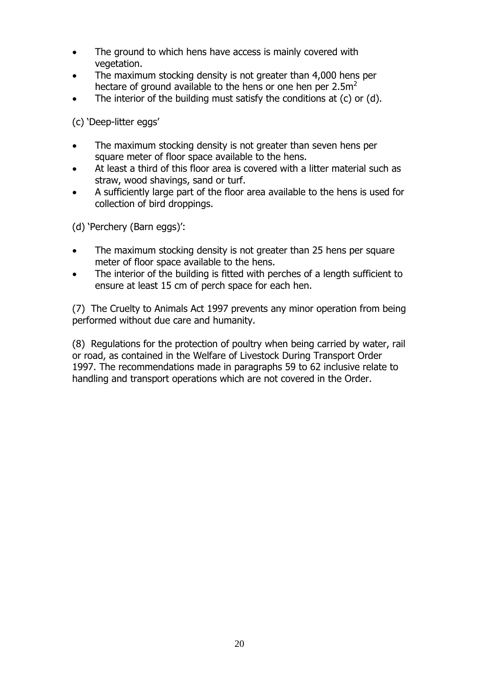- The ground to which hens have access is mainly covered with vegetation.
- The maximum stocking density is not greater than 4,000 hens per hectare of ground available to the hens or one hen per  $2.5m<sup>2</sup>$
- The interior of the building must satisfy the conditions at (c) or (d).

(c) 'Deep-litter eggs'

- The maximum stocking density is not greater than seven hens per square meter of floor space available to the hens.
- At least a third of this floor area is covered with a litter material such as straw, wood shavings, sand or turf.
- A sufficiently large part of the floor area available to the hens is used for collection of bird droppings.

(d) 'Perchery (Barn eggs)':

- The maximum stocking density is not greater than 25 hens per square meter of floor space available to the hens.
- The interior of the building is fitted with perches of a length sufficient to ensure at least 15 cm of perch space for each hen.

(7) The Cruelty to Animals Act 1997 prevents any minor operation from being performed without due care and humanity.

(8) Regulations for the protection of poultry when being carried by water, rail or road, as contained in the Welfare of Livestock During Transport Order 1997. The recommendations made in paragraphs 59 to 62 inclusive relate to handling and transport operations which are not covered in the Order.